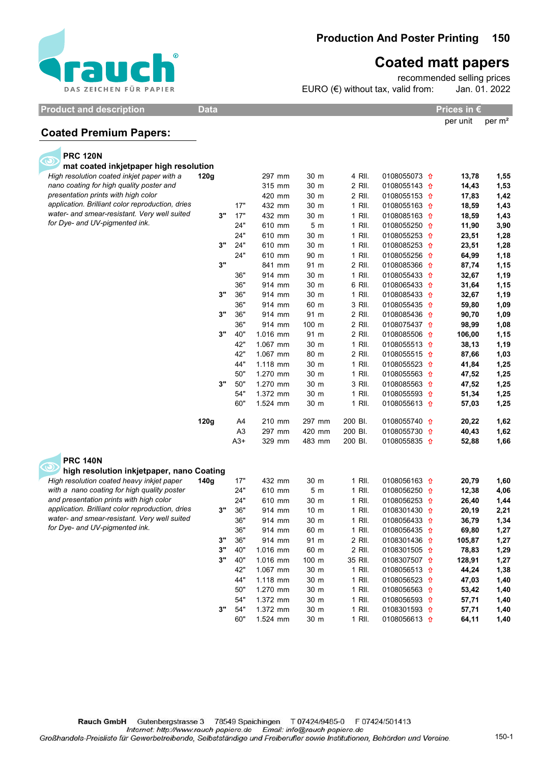

## 150 Production And Poster Printing

## Coated matt papers

Jan. 01. 2022 recommended selling prices EURO  $(\epsilon)$  without tax, valid from:

Product and description Data Data Prices in €

per unit per m²

## Coated Premium Papers:

| <b>PRC 120N</b>                                                                         |      |                         |                      |                  |                    |                                                    |                |              |
|-----------------------------------------------------------------------------------------|------|-------------------------|----------------------|------------------|--------------------|----------------------------------------------------|----------------|--------------|
| mat coated inkjetpaper high resolution                                                  |      |                         |                      |                  |                    |                                                    |                |              |
| High resolution coated inkjet paper with a                                              | 120g |                         | 297 mm               | 30 m             | 4 RII.             | 0108055073 <del>1</del>                            | 13,78          | 1,55         |
| nano coating for high quality poster and                                                |      |                         | 315 mm               | 30 m             | 2 RII.             | 0108055143 <del>1</del>                            | 14,43          | 1,53         |
| presentation prints with high color<br>application. Brilliant color reproduction, dries |      |                         | 420 mm               | 30 m             | 2 RII.             | 0108055153 1                                       | 17,83          | 1,42         |
| water- and smear-resistant. Very well suited                                            |      | 17"                     | 432 mm               | 30 m             | 1 RII.             | 0108055163 $\hat{\textbf{n}}$                      | 18,59          | 1,43         |
| for Dye- and UV-pigmented ink.                                                          | 3"   | 17"                     | 432 mm               | 30 m             | 1 RII.             | 0108085163 1                                       | 18,59          | 1,43         |
|                                                                                         |      | 24"                     | 610 mm               | 5 <sub>m</sub>   | 1 RII.             | 0108055250 <del>1</del>                            | 11,90          | 3,90         |
|                                                                                         |      | 24"                     | 610 mm               | 30 m             | 1 RII.             | 0108055253 <del>1</del>                            | 23,51          | 1,28         |
|                                                                                         | 3"   | 24"                     | 610 mm               | 30 m             | 1 RII.             | 0108085253 <del>1</del>                            | 23,51          | 1,28         |
|                                                                                         | 3"   | 24"                     | 610 mm               | 90 m             | 1 RII.             | 0108055256 <del>1</del>                            | 64,99          | 1,18         |
|                                                                                         |      |                         | 841 mm               | 91 m             | 2 RII.             | 0108085366 1                                       | 87,74          | 1,15         |
|                                                                                         |      | 36"                     | 914 mm               | 30 m             | 1 RII.             | 0108055433 <del>1</del>                            | 32,67          | 1,19         |
|                                                                                         |      | 36"                     | 914 mm               | 30 m             | 6 RII.             | 0108065433 <del>1</del>                            | 31,64          | 1,15         |
|                                                                                         | 3"   | 36"                     | 914 mm               | 30 m             | 1 RII.             | 0108085433 1                                       | 32,67          | 1,19         |
|                                                                                         |      | 36"                     | 914 mm               | 60 m             | 3 RII.             | 0108055435 <del>1</del>                            | 59,80          | 1,09         |
|                                                                                         | 3"   | 36"                     | 914 mm               | 91 m             | 2 RII.             | 0108085436 1                                       | 90,70          | 1,09         |
|                                                                                         |      | 36"                     | 914 mm               | 100 m            | 2 RII.             | 0108075437 <del>1</del>                            | 98,99          | 1,08         |
|                                                                                         | 3"   | 40"                     | 1.016 mm             | 91 m             | 2 RII.             | 0108085506 <del>1</del>                            | 106,00         | 1,15         |
|                                                                                         |      | 42"                     | 1.067 mm             | 30 m             | 1 RII.             | 0108055513 <del>1</del>                            | 38,13          | 1,19         |
|                                                                                         |      | 42"                     | 1.067 mm             | 80 m             | 2 RII.             | 0108055515 <del>1</del>                            | 87,66          | 1,03         |
|                                                                                         |      | 44"                     | 1.118 mm             | 30 m             | 1 RII.             | 0108055523 <del>1</del>                            | 41,84          | 1,25         |
|                                                                                         |      | 50"                     | 1.270 mm             | 30 m             | 1 RII.             | 0108055563 1                                       | 47,52          | 1,25         |
|                                                                                         | 3"   | 50"                     | 1.270 mm             | 30 m             | 3 RII.             | 0108085563 <del>1</del>                            | 47,52          | 1,25         |
|                                                                                         |      | 54"<br>60"              | 1.372 mm<br>1.524 mm | 30 m<br>30 m     | 1 RII.<br>1 RII.   | 0108055593 <del>1</del><br>0108055613 <del>1</del> | 51,34<br>57,03 | 1,25<br>1,25 |
|                                                                                         |      |                         |                      |                  |                    |                                                    |                |              |
|                                                                                         | 120g | A4                      | 210 mm               | 297 mm           | 200 BI.<br>200 BI. | 0108055740 1                                       | 20,22          | 1,62         |
|                                                                                         |      | A <sub>3</sub><br>$A3+$ | 297 mm<br>329 mm     | 420 mm<br>483 mm | 200 BI.            | 0108055730 <del>0</del><br>0108055835 1            | 40,43<br>52,88 | 1,62<br>1,66 |
| <b>PRC 140N</b>                                                                         |      |                         |                      |                  |                    |                                                    |                |              |
| high resolution inkjetpaper, nano Coating                                               |      |                         |                      |                  |                    |                                                    |                |              |
| High resolution coated heavy inkjet paper                                               | 140g | 17"                     | 432 mm               | 30 m             | 1 RII.             | 0108056163 <del>1</del>                            | 20,79          | 1,60         |
| with a nano coating for high quality poster                                             |      | 24"                     | 610 mm               | 5 <sub>m</sub>   | 1 RII.             | 0108056250 1                                       | 12,38          | 4,06         |
| and presentation prints with high color                                                 |      | 24"                     | 610 mm               | 30 m             | 1 RII.             | 0108056253 1                                       | 26,40          | 1,44         |
| application. Brilliant color reproduction, dries                                        | 3"   | 36"                     | 914 mm               | 10 <sub>m</sub>  | 1 RII.             | 0108301430 <del>0</del>                            | 20,19          | 2,21         |
| water- and smear-resistant. Very well suited                                            |      | 36"                     | 914 mm               | 30 m             | 1 RII.             | 0108056433 <del>1</del>                            | 36,79          | 1,34         |
| for Dye- and UV-pigmented ink.                                                          |      | 36"                     | 914 mm               | 60 m             | 1 RII.             | 0108056435 <del>1</del>                            | 69,80          | 1,27         |
|                                                                                         | 3"   | 36"                     | 914 mm               | 91 m             | 2 RII.             | 0108301436 <del>1</del>                            | 105,87         | 1,27         |
|                                                                                         | 3"   | 40"                     | 1.016 mm             | 60 m             | 2 RII.             | 0108301505 <del>1</del>                            | 78,83          | 1,29         |
|                                                                                         | 3"   | 40"                     | 1.016 mm             | 100 m            | 35 RII.            | 0108307507 <del>1</del>                            | 128,91         | 1,27         |
|                                                                                         |      | 42"                     | 1.067 mm             | 30 m             | 1 RII.             | 0108056513 <del>1</del>                            | 44,24          | 1,38         |
|                                                                                         |      | 44"                     | 1.118 mm             | 30 m             | 1 RII.             | 0108056523 <del>1</del>                            | 47,03          | 1,40         |
|                                                                                         |      | 50"                     | 1.270 mm             | 30 m             | 1 RII.             | 0108056563 <del>1</del>                            | 53,42          | 1,40         |
|                                                                                         |      | 54"                     | 1.372 mm             | 30 m             | 1 RII.             | 0108056593 <del>1</del>                            | 57,71          | 1,40         |
|                                                                                         | 3"   | 54"                     | 1.372 mm             | 30 m             | 1 RII.             | 0108301593 <del>1</del>                            | 57,71          | 1,40         |
|                                                                                         |      | 60"                     | 1.524 mm             | 30 m             | 1 RII.             | 0108056613 <del>1</del>                            | 64,11          | 1,40         |